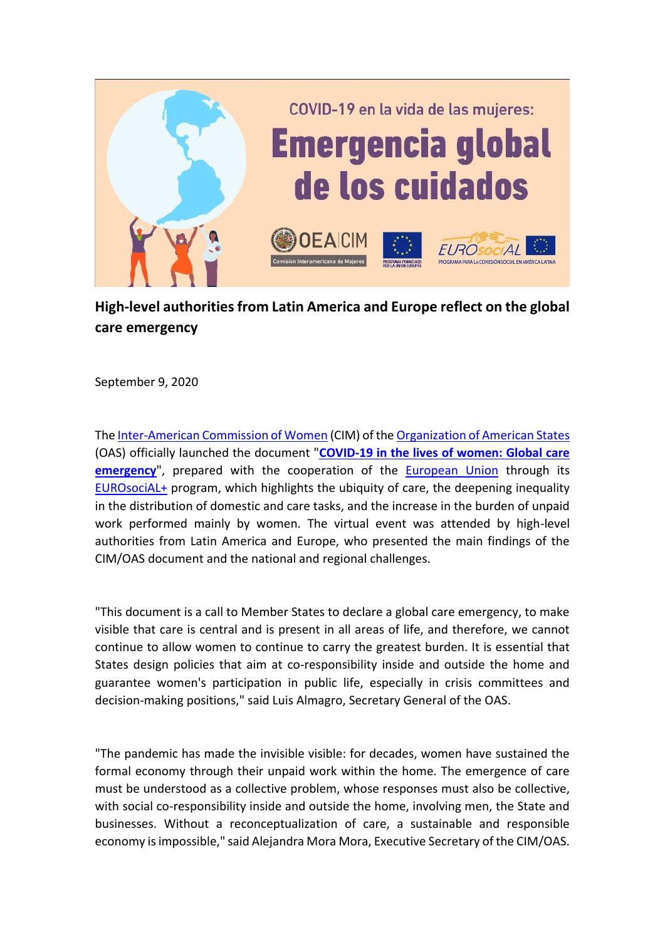

## **High-level authorities from Latin America and Europe reflect on the global care emergency**

September 9, 2020

Th[e Inter-American Commission of Women](http://www.oas.org/en/cim/default.asp) (CIM) of the [Organization of American States](http://www.oas.org/en/default.asp) (OAS) officially launched the document "**[COVID-19 in the lives of women: Global care](http://www.oas.org/en/cim/docs/CuidadosCOVID19-EN.pdf)  [emergency](http://www.oas.org/en/cim/docs/CuidadosCOVID19-EN.pdf)**", prepared with the cooperation of the [European Union](https://europa.eu/european-union/index_en) through its [EUROsociAL+](https://eurosocial.eu/en/) program, which highlights the ubiquity of care, the deepening inequality in the distribution of domestic and care tasks, and the increase in the burden of unpaid work performed mainly by women. The virtual event was attended by high-level authorities from Latin America and Europe, who presented the main findings of the CIM/OAS document and the national and regional challenges.

"This document is a call to Member States to declare a global care emergency, to make visible that care is central and is present in all areas of life, and therefore, we cannot continue to allow women to continue to carry the greatest burden. It is essential that States design policies that aim at co-responsibility inside and outside the home and guarantee women's participation in public life, especially in crisis committees and decision-making positions," said Luis Almagro, Secretary General of the OAS.

"The pandemic has made the invisible visible: for decades, women have sustained the formal economy through their unpaid work within the home. The emergence of care must be understood as a collective problem, whose responses must also be collective, with social co-responsibility inside and outside the home, involving men, the State and businesses. Without a reconceptualization of care, a sustainable and responsible economy is impossible," said Alejandra Mora Mora, Executive Secretary of the CIM/OAS.